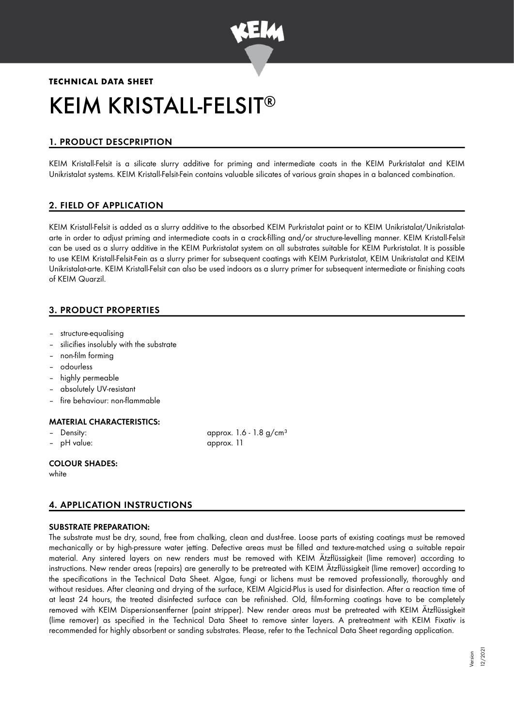

# **TECHNICAL DATA SHEET** KEIM KRISTALL-FELSIT ®

# 1. PRODUCT DESCPRIPTION

KEIM Kristall-Felsit is a silicate slurry additive for priming and intermediate coats in the KEIM Purkristalat and KEIM Unikristalat systems. KEIM Kristall-Felsit-Fein contains valuable silicates of various grain shapes in a balanced combination.

# 2. FIELD OF APPLICATION

KEIM Kristall-Felsit is added as a slurry additive to the absorbed KEIM Purkristalat paint or to KEIM Unikristalat/Unikristalatarte in order to adjust priming and intermediate coats in a crack-filling and/or structure-levelling manner. KEIM Kristall-Felsit can be used as a slurry additive in the KEIM Purkristalat system on all substrates suitable for KEIM Purkristalat. It is possible to use KEIM Kristall-Felsit-Fein as a slurry primer for subsequent coatings with KEIM Purkristalat, KEIM Unikristalat and KEIM Unikristalat-arte. KEIM Kristall-Felsit can also be used indoors as a slurry primer for subsequent intermediate or finishing coats of KEIM Quarzil.

# 3. PRODUCT PROPERTIES

- structure-equalising
- silicifies insolubly with the substrate
- non-film forming
- odourless
- highly permeable
- absolutely UV-resistant
- fire behaviour: non-flammable

## MATERIAL CHARACTERISTICS:

- 
- pH value: approx. 11

– Density: approx. 1.6 - 1.8 g/cm<sup>3</sup>

## COLOUR SHADES:

white

# 4. APPLICATION INSTRUCTIONS

#### SUBSTRATE PREPARATION:

The substrate must be dry, sound, free from chalking, clean and dust-free. Loose parts of existing coatings must be removed mechanically or by high-pressure water jetting. Defective areas must be filled and texture-matched using a suitable repair material. Any sintered layers on new renders must be removed with KEIM Ätzflüssigkeit (lime remover) according to instructions. New render areas (repairs) are generally to be pretreated with KEIM Ätzflüssigkeit (lime remover) according to the specifications in the Technical Data Sheet. Algae, fungi or lichens must be removed professionally, thoroughly and without residues. After cleaning and drying of the surface, KEIM Algicid-Plus is used for disinfection. After a reaction time of at least 24 hours, the treated disinfected surface can be refinished. Old, film-forming coatings have to be completely removed with KEIM Dispersionsentferner (paint stripper). New render areas must be pretreated with KEIM Ätzflüssigkeit (lime remover) as specified in the Technical Data Sheet to remove sinter layers. A pretreatment with KEIM Fixativ is recommended for highly absorbent or sanding substrates. Please, refer to the Technical Data Sheet regarding application.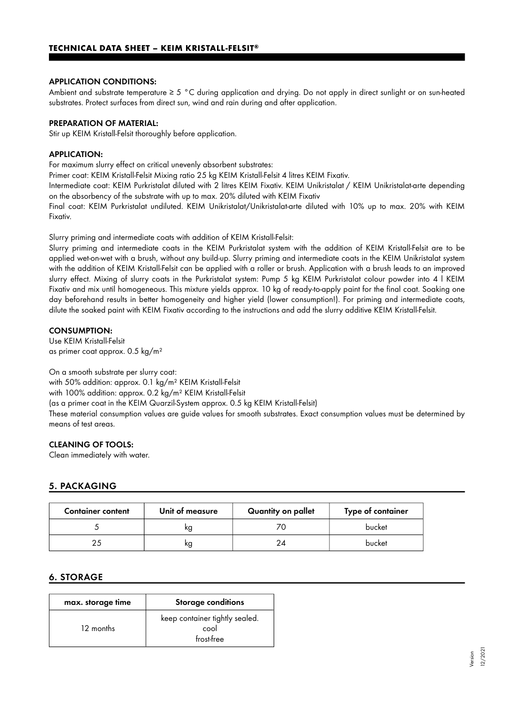#### APPLICATION CONDITIONS:

Ambient and substrate temperature ≥ 5 °C during application and drying. Do not apply in direct sunlight or on sun-heated substrates. Protect surfaces from direct sun, wind and rain during and after application.

#### PREPARATION OF MATERIAL:

Stir up KEIM Kristall-Felsit thoroughly before application.

#### APPLICATION:

For maximum slurry effect on critical unevenly absorbent substrates:

Primer coat: KEIM Kristall-Felsit Mixing ratio 25 kg KEIM Kristall-Felsit 4 litres KEIM Fixativ.

Intermediate coat: KEIM Purkristalat diluted with 2 litres KEIM Fixativ. KEIM Unikristalat / KEIM Unikristalat-arte depending on the absorbency of the substrate with up to max. 20% diluted with KEIM Fixativ

Final coat: KEIM Purkristalat undiluted. KEIM Unikristalat/Unikristalat-arte diluted with 10% up to max. 20% with KEIM Fixativ.

Slurry priming and intermediate coats with addition of KEIM Kristall-Felsit:

Slurry priming and intermediate coats in the KEIM Purkristalat system with the addition of KEIM Kristall-Felsit are to be applied wet-on-wet with a brush, without any build-up. Slurry priming and intermediate coats in the KEIM Unikristalat system with the addition of KEIM Kristall-Felsit can be applied with a roller or brush. Application with a brush leads to an improved slurry effect. Mixing of slurry coats in the Purkristalat system: Pump 5 kg KEIM Purkristalat colour powder into 4 l KEIM Fixativ and mix until homogeneous. This mixture yields approx. 10 kg of ready-to-apply paint for the final coat. Soaking one day beforehand results in better homogeneity and higher yield (lower consumption!). For priming and intermediate coats, dilute the soaked paint with KEIM Fixativ according to the instructions and add the slurry additive KEIM Kristall-Felsit.

#### CONSUMPTION:

Use KEIM Kristall-Felsit as primer coat approx. 0.5 kg/m²

On a smooth substrate per slurry coat: with 50% addition: approx. 0.1 kg/m² KEIM Kristall-Felsit with 100% addition: approx. 0.2 kg/m² KEIM Kristall-Felsit (as a primer coat in the KEIM Quarzil-System approx. 0.5 kg KEIM Kristall-Felsit) These material consumption values are guide values for smooth substrates. Exact consumption values must be determined by means of test areas.

## CLEANING OF TOOLS:

Clean immediately with water.

## 5. PACKAGING

| <b>Container content</b> | Unit of measure | Quantity on pallet | Type of container |
|--------------------------|-----------------|--------------------|-------------------|
|                          | ĸg              |                    | bucket            |
|                          | ĸg              |                    | bucket            |

## 6. STORAGE

| max. storage time | <b>Storage conditions</b>                            |  |
|-------------------|------------------------------------------------------|--|
| 12 months         | keep container tightly sealed.<br>cool<br>frost-free |  |